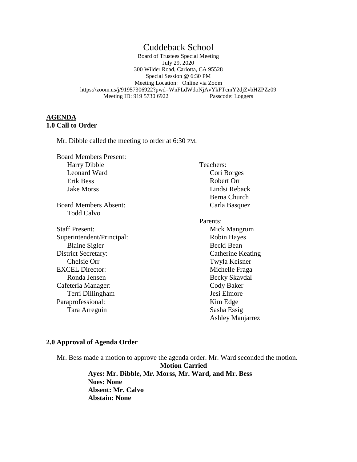# Cuddeback School

Board of Trustees Special Meeting July 29, 2020 300 Wilder Road, Carlotta, CA 95528 Special Session @ 6:30 PM Meeting Location: Online via Zoom https://zoom.us/j/91957306922?pwd=WnFLdWdoNjAvYkFTcmY2djZvbHZPZz09 Meeting ID: 919 5730 6922 Passcode: Loggers

# **AGENDA 1.0 Call to Order**

Mr. Dibble called the meeting to order at 6:30 PM.

Board Members Present: Harry Dibble Leonard Ward Erik Bess Jake Morss

Board Members Absent: Todd Calvo

Staff Present: Superintendent/Principal: Blaine Sigler District Secretary: Chelsie Orr EXCEL Director: Ronda Jensen Cafeteria Manager: Terri Dillingham Paraprofessional: Tara Arreguin

 Teachers: Cori Borges Robert Orr Lindsi Reback Berna Church Carla Basquez

Parents: Mick Mangrum Robin Hayes Becki Bean Catherine Keating Twyla Keisner Michelle Fraga Becky Skavdal Cody Baker Jesi Elmore Kim Edge Sasha Essig Ashley Manjarrez

## **2.0 Approval of Agenda Order**

Mr. Bess made a motion to approve the agenda order. Mr. Ward seconded the motion. **Motion Carried Ayes: Mr. Dibble, Mr. Morss, Mr. Ward, and Mr. Bess Noes: None Absent: Mr. Calvo Abstain: None**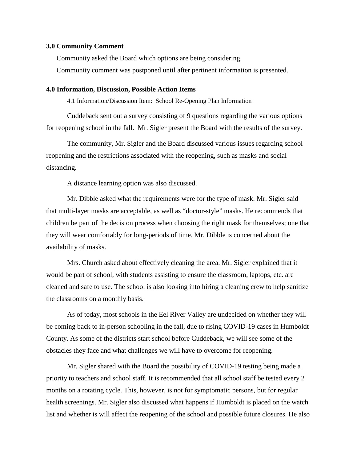#### **3.0 Community Comment**

Community asked the Board which options are being considering.

Community comment was postponed until after pertinent information is presented.

### **4.0 Information, Discussion, Possible Action Items**

4.1 Information/Discussion Item: School Re-Opening Plan Information

Cuddeback sent out a survey consisting of 9 questions regarding the various options for reopening school in the fall. Mr. Sigler present the Board with the results of the survey.

The community, Mr. Sigler and the Board discussed various issues regarding school reopening and the restrictions associated with the reopening, such as masks and social distancing.

A distance learning option was also discussed.

Mr. Dibble asked what the requirements were for the type of mask. Mr. Sigler said that multi-layer masks are acceptable, as well as "doctor-style" masks. He recommends that children be part of the decision process when choosing the right mask for themselves; one that they will wear comfortably for long-periods of time. Mr. Dibble is concerned about the availability of masks.

Mrs. Church asked about effectively cleaning the area. Mr. Sigler explained that it would be part of school, with students assisting to ensure the classroom, laptops, etc. are cleaned and safe to use. The school is also looking into hiring a cleaning crew to help sanitize the classrooms on a monthly basis.

As of today, most schools in the Eel River Valley are undecided on whether they will be coming back to in-person schooling in the fall, due to rising COVID-19 cases in Humboldt County. As some of the districts start school before Cuddeback, we will see some of the obstacles they face and what challenges we will have to overcome for reopening.

Mr. Sigler shared with the Board the possibility of COVID-19 testing being made a priority to teachers and school staff. It is recommended that all school staff be tested every 2 months on a rotating cycle. This, however, is not for symptomatic persons, but for regular health screenings. Mr. Sigler also discussed what happens if Humboldt is placed on the watch list and whether is will affect the reopening of the school and possible future closures. He also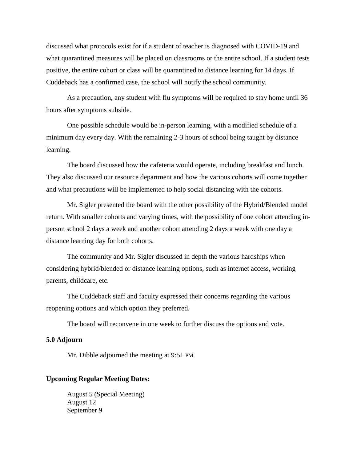discussed what protocols exist for if a student of teacher is diagnosed with COVID-19 and what quarantined measures will be placed on classrooms or the entire school. If a student tests positive, the entire cohort or class will be quarantined to distance learning for 14 days. If Cuddeback has a confirmed case, the school will notify the school community.

As a precaution, any student with flu symptoms will be required to stay home until 36 hours after symptoms subside.

One possible schedule would be in-person learning, with a modified schedule of a minimum day every day. With the remaining 2-3 hours of school being taught by distance learning.

The board discussed how the cafeteria would operate, including breakfast and lunch. They also discussed our resource department and how the various cohorts will come together and what precautions will be implemented to help social distancing with the cohorts.

Mr. Sigler presented the board with the other possibility of the Hybrid/Blended model return. With smaller cohorts and varying times, with the possibility of one cohort attending inperson school 2 days a week and another cohort attending 2 days a week with one day a distance learning day for both cohorts.

The community and Mr. Sigler discussed in depth the various hardships when considering hybrid/blended or distance learning options, such as internet access, working parents, childcare, etc.

The Cuddeback staff and faculty expressed their concerns regarding the various reopening options and which option they preferred.

The board will reconvene in one week to further discuss the options and vote.

# **5.0 Adjourn**

Mr. Dibble adjourned the meeting at 9:51 PM.

# **Upcoming Regular Meeting Dates:**

August 5 (Special Meeting) August 12 September 9